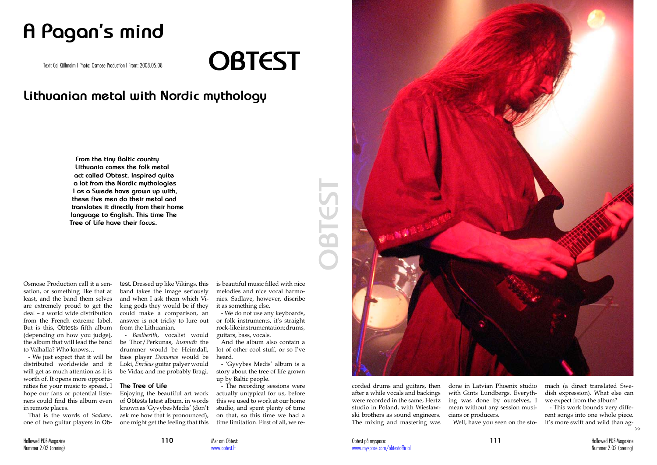**111** Hallowed PDF-Magazine Nummer 2.02 (orering)

Osmose Production call it a sensation, or something like that at least, and the band them selves are extremely proud to get the deal – a world wide distribution from the French extreme label. But is this, Obtests fifth album (depending on how you judge), the album that will lead the band to Valhalla? Who knows…

- We just expect that it will be distributed worldwide and it will get as much attention as it is worth of. It opens more opportunities for your music to spread, I hope our fans or potential listeners could find this album even in remote places.

That is the words of *Sadlave*, one of two guitar players in Ob-

# **A Pagan's mind**

## **Lithuanian metal with Nordic mythology**

Text: Caj Källmalm I Photo: Osmose Production I From: 2008.05.08 **OBTEST**

**From the tiny Baltic country Lithuania comes the folk metal act called Obtest. Inspired quite a lot from the Nordic mythologies I as a Swede have grown up with, these five men do their metal and translates it directly from their home language to English. This time The Tree of Life have their focus.**

> test. Dressed up like Vikings, this band takes the image seriously and when I ask them which Viking gods they would be if they could make a comparison, an answer is not tricky to lure out from the Lithuanian.

> > Mer om Obtest: www.ohtest.lt

- *Baalberith*, vocalist would be Thor/Perkunas, *Insmuth* the drummer would be Heimdall, bass player *Demonas* would be Loki, *Enrikas* guitar palyer would be Vidar, and me probably Bragi.

#### **The Tree of Life**

Enjoying the beautiful art work of Obtests latest album, in words known as 'Gyvybes Medis' (don't ask me how that is pronounced), one might get the feeling that this is beautiful music filled with nice melodies and nice vocal harmonies. Sadlave, however, discribe it as something else.

- We do not use any keyboards, or folk instruments, it's straight rock-like instrumentation: drums, guitars, bass, vocals.

And the album also contain a lot of other cool stuff, or so I've heard.

- 'Gyvybes Medis' album is a story about the tree of life grown up by Baltic people.

- The recording sessions were actually untypical for us, before this we used to work at our home studio, and spent plenty of time on that, so this time we had a time limitation. First of all, we reafter a while vocals and backings were recorded in the same, Hertz studio in Poland, with Wieslawski brothers as sound engineers. The mixing and mastering was



with Gints Lundbergs. Everything was done by ourselves, I mean without any session musicians or producers. Well, have you seen on the sto-

dish expression). What else can we expect from the album?

- This work bounds very different songs into one whole piece. It's more swift and wild than ag-

>>